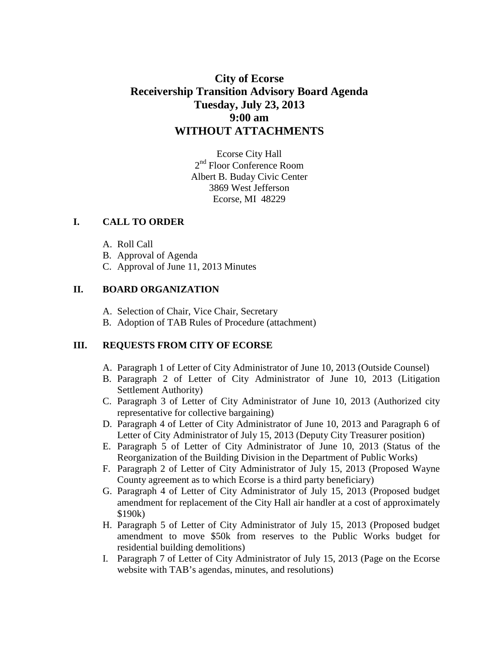# **City of Ecorse Receivership Transition Advisory Board Agenda Tuesday, July 23, 2013 9:00 am WITHOUT ATTACHMENTS**

Ecorse City Hall 2<sup>nd</sup> Floor Conference Room Albert B. Buday Civic Center 3869 West Jefferson Ecorse, MI 48229

#### **I. CALL TO ORDER**

- A. Roll Call
- B. Approval of Agenda
- C. Approval of June 11, 2013 Minutes

#### **II. BOARD ORGANIZATION**

- A. Selection of Chair, Vice Chair, Secretary
- B. Adoption of TAB Rules of Procedure (attachment)

## **III. REQUESTS FROM CITY OF ECORSE**

- A. Paragraph 1 of Letter of City Administrator of June 10, 2013 (Outside Counsel)
- B. Paragraph 2 of Letter of City Administrator of June 10, 2013 (Litigation Settlement Authority)
- C. Paragraph 3 of Letter of City Administrator of June 10, 2013 (Authorized city representative for collective bargaining)
- D. Paragraph 4 of Letter of City Administrator of June 10, 2013 and Paragraph 6 of Letter of City Administrator of July 15, 2013 (Deputy City Treasurer position)
- E. Paragraph 5 of Letter of City Administrator of June 10, 2013 (Status of the Reorganization of the Building Division in the Department of Public Works)
- F. Paragraph 2 of Letter of City Administrator of July 15, 2013 (Proposed Wayne County agreement as to which Ecorse is a third party beneficiary)
- G. Paragraph 4 of Letter of City Administrator of July 15, 2013 (Proposed budget amendment for replacement of the City Hall air handler at a cost of approximately \$190k)
- H. Paragraph 5 of Letter of City Administrator of July 15, 2013 (Proposed budget amendment to move \$50k from reserves to the Public Works budget for residential building demolitions)
- I. Paragraph 7 of Letter of City Administrator of July 15, 2013 (Page on the Ecorse website with TAB's agendas, minutes, and resolutions)